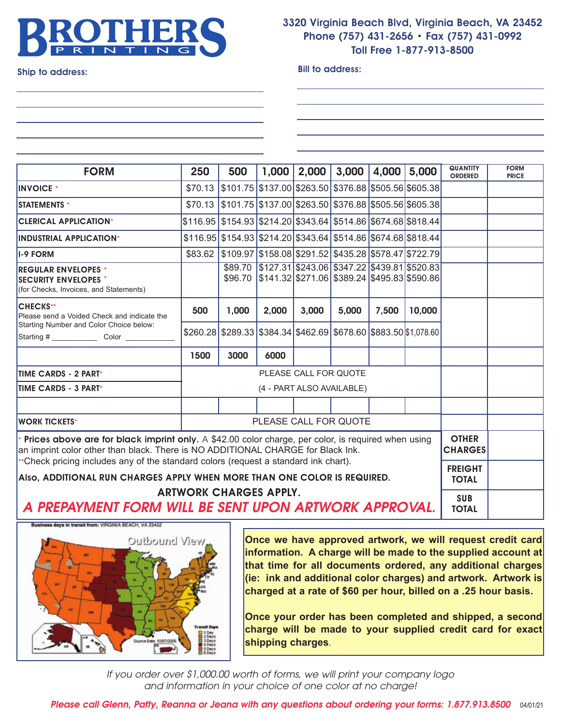

## **3320 Virginia Beach Blvd, Virginia Beach, VA 23452 Phone (757) 431-2656 • Fax (757) 431-0992 Toll Free 1-877-913-8500**

**Ship to address: Bill to address:**

| <b>FORM</b>                                                                                                                                                                             | 250                       | 500                                                                    | 1,000 | 2,000 | 3,000                                                                                                                            | 4,000 | 5,000  | <b>QUANTITY</b><br><b>ORDERED</b> | <b>FORM</b><br><b>PRICE</b> |
|-----------------------------------------------------------------------------------------------------------------------------------------------------------------------------------------|---------------------------|------------------------------------------------------------------------|-------|-------|----------------------------------------------------------------------------------------------------------------------------------|-------|--------|-----------------------------------|-----------------------------|
| <b>INVOICE</b> *                                                                                                                                                                        |                           | \$70.13 \$101.75 \$137.00 \$263.50 \$376.88 \$505.56 \$605.38          |       |       |                                                                                                                                  |       |        |                                   |                             |
| <b>ISTATEMENTS *</b>                                                                                                                                                                    |                           | $$70.13$ $$101.75$ $$137.00$ $$263.50$ $$376.88$ $$505.56$ $$605.38$   |       |       |                                                                                                                                  |       |        |                                   |                             |
| <b>CLERICAL APPLICATION*</b>                                                                                                                                                            |                           | \$116.95 \$154.93 \$214.20 \$343.64 \$514.86 \$674.68 \$818.44         |       |       |                                                                                                                                  |       |        |                                   |                             |
| <b>INDUSTRIAL APPLICATION*</b>                                                                                                                                                          |                           | $$116.95$ $$154.93$ $$214.20$ $$343.64$ $$514.86$ $$674.68$ $$818.44$  |       |       |                                                                                                                                  |       |        |                                   |                             |
| <b>I-9 FORM</b>                                                                                                                                                                         | \$83.62                   | \$109.97  \$158.08   \$291.52   \$435.28   \$578.47   \$722.79         |       |       |                                                                                                                                  |       |        |                                   |                             |
| <b>REGULAR ENVELOPES *</b><br><b>ISECURITY ENVELOPES *</b><br>(for Checks, Invoices, and Statements)                                                                                    |                           |                                                                        |       |       | \$89.70   \$127.31   \$243.06   \$347.22   \$439.81   \$520.83<br>\$96.70   \$141.32   \$271.06   \$389.24   \$495.83   \$590.86 |       |        |                                   |                             |
| <b>CHECKS**</b><br>Please send a Voided Check and indicate the<br>Starting Number and Color Choice below:<br>Starting # __________________Color ______                                  | 500                       | 1,000                                                                  | 2,000 | 3,000 | 5,000                                                                                                                            | 7,500 | 10,000 |                                   |                             |
|                                                                                                                                                                                         |                           | $$260.28$ $$289.33$ $$384.34$ $$462.69$ $$678.60$ $$883.50$ \$1,078.60 |       |       |                                                                                                                                  |       |        |                                   |                             |
|                                                                                                                                                                                         | 1500                      | 3000                                                                   | 6000  |       |                                                                                                                                  |       |        |                                   |                             |
| <b>TIME CARDS - 2 PART*</b>                                                                                                                                                             | PLEASE CALL FOR QUOTE     |                                                                        |       |       |                                                                                                                                  |       |        |                                   |                             |
| <b>TIME CARDS - 3 PART*</b>                                                                                                                                                             | (4 - PART ALSO AVAILABLE) |                                                                        |       |       |                                                                                                                                  |       |        |                                   |                             |
|                                                                                                                                                                                         |                           |                                                                        |       |       |                                                                                                                                  |       |        |                                   |                             |
| <b>WORK TICKETS*</b>                                                                                                                                                                    | PLEASE CALL FOR QUOTE     |                                                                        |       |       |                                                                                                                                  |       |        |                                   |                             |
| * Prices above are for black imprint only. A \$42.00 color charge, per color, is required when using<br>an imprint color other than black. There is NO ADDITIONAL CHARGE for Black Ink. |                           |                                                                        |       |       |                                                                                                                                  |       |        | <b>OTHER</b><br><b>CHARGES</b>    |                             |
| ***Check pricing includes any of the standard colors (request a standard ink chart).                                                                                                    |                           |                                                                        |       |       |                                                                                                                                  |       |        | <b>FREIGHT</b>                    |                             |
| Also, ADDITIONAL RUN CHARGES APPLY WHEN MORE THAN ONE COLOR IS REQUIRED.<br><b>ARTWORK CHARGES APPLY.</b><br>A PREPAYMENT FORM WILL BE SENT UPON ARTWORK APPROVAL.                      |                           |                                                                        |       |       |                                                                                                                                  |       |        | <b>TOTAL</b>                      |                             |
|                                                                                                                                                                                         |                           |                                                                        |       |       |                                                                                                                                  |       |        | <b>SUB</b><br><b>TOTAL</b>        |                             |



**Once we have approved artwork, we will request credit card information. A charge will be made to the supplied account at that time for all documents ordered, any additional charges (ie: ink and additional color charges) and artwork. Artwork is charged at a rate of \$60 per hour, billed on a .25 hour basis.**

**Once your order has been completed and shipped, a second charge will be made to your supplied credit card for exact shipping charges**.

*If you order over \$1,000.00 worth of forms, we will print your company logo and information in your choice of one color at no charge!*